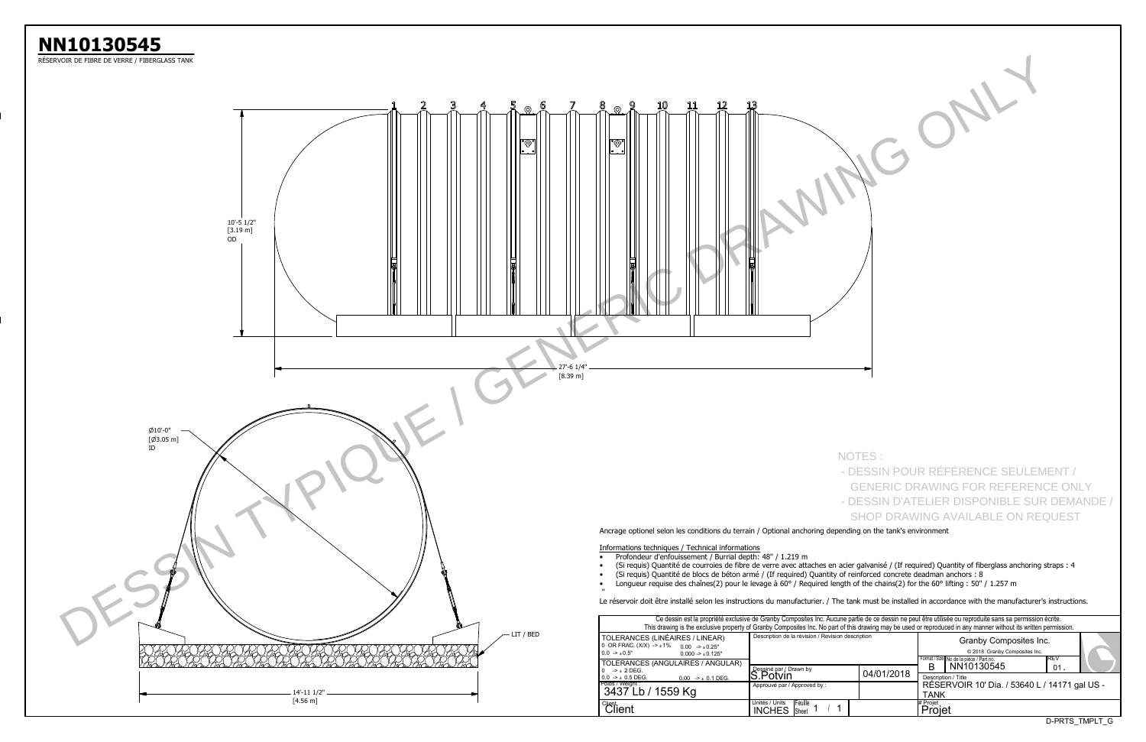

|                                                                                                                                                                                                                                                                                                                                                                                                                                                                              |                                                                    | NOTES:     | - DESSIN POUR RÉFÉRENCE SEULEMENT /                                                                                                                                                                                                                                                                           |
|------------------------------------------------------------------------------------------------------------------------------------------------------------------------------------------------------------------------------------------------------------------------------------------------------------------------------------------------------------------------------------------------------------------------------------------------------------------------------|--------------------------------------------------------------------|------------|---------------------------------------------------------------------------------------------------------------------------------------------------------------------------------------------------------------------------------------------------------------------------------------------------------------|
|                                                                                                                                                                                                                                                                                                                                                                                                                                                                              |                                                                    |            | <b>GENERIC DRAWING FOR REFERENCE ONLY</b><br>- DESSIN D'ATELIER DISPONIBLE SUR DEMANDE /                                                                                                                                                                                                                      |
|                                                                                                                                                                                                                                                                                                                                                                                                                                                                              |                                                                    |            | <b>SHOP DRAWING AVAILABLE ON REQUEST</b>                                                                                                                                                                                                                                                                      |
| Ancrage optionel selon les conditions du terrain / Optional anchoring depending on the tank's environment<br>Informations techniques / Technical informations<br>Profondeur d'enfouissement / Burrial depth: 48" / 1.219 m<br>(Si requis) Quantité de blocs de béton armé / (If required) Quantity of reinforced concrete deadman anchors : 8<br>Longueur requise des chaînes(2) pour le levage à 60° / Required length of the chains(2) for the 60° lifting : 50" / 1.257 m |                                                                    |            | (Si requis) Quantité de courroies de fibre de verre avec attaches en acier galvanisé / (If required) Quantity of fiberglass anchoring straps : 4<br>Le réservoir doit être installé selon les instructions du manufacturier. / The tank must be installed in accordance with the manufacturer's instructions. |
|                                                                                                                                                                                                                                                                                                                                                                                                                                                                              |                                                                    |            | Ce dessin est la propriété exclusive de Granby Composites Inc. Aucune partie de ce dessin ne peut être utilisée ou reproduite sans sa permission écrite.                                                                                                                                                      |
| TOLERANCES (LINÉAIRES / LINEAR)<br>0 OR FRAC. $(X/X)$ -> $\pm$ 1%<br>$0.00$ -> $\pm 0.25$ "<br>$0.0$ -> $\pm 0.5"$<br>$0.000 \rightarrow \pm 0.125"$<br>TOLERANCES (ANGULAIRES / ANGULAR)                                                                                                                                                                                                                                                                                    | Description de la révision / Revision description                  |            | This drawing is the exclusive property of Granby Composites Inc. No part of this drawing may be used or reproduced in any manner without its written permission.<br>Granby Composites Inc.<br>@ 2018 Granby Composites Inc.<br>REV<br>Format / Size No de la pièce / Part no.                                 |
| $0 \rightarrow \pm 2$ DEG.<br>$0.0$ -> $\pm$ 0.5 DEG.<br>$0.00$ -> $\pm$ 0.1 DEG.<br>Poids / Weight :<br>3437 Lb / 1559 Kg                                                                                                                                                                                                                                                                                                                                                   | Dessiné par / Drawn by<br>S.Potvin<br>Approuvé par / Approved by : | 04/01/2018 | NN10130545<br>в<br>01.<br>Description / Title<br>RÉSERVOIR 10' Dia. / 53640 L / 14171 gal US -<br><b>TANK</b>                                                                                                                                                                                                 |
| <i><b>Client</b></i><br>Client                                                                                                                                                                                                                                                                                                                                                                                                                                               | Unités / Units<br>Feuille<br>-1<br>Sheet 1<br><b>INCHES</b>        |            | # Projet<br>Projet<br>D-PRTS_TMPLT_G                                                                                                                                                                                                                                                                          |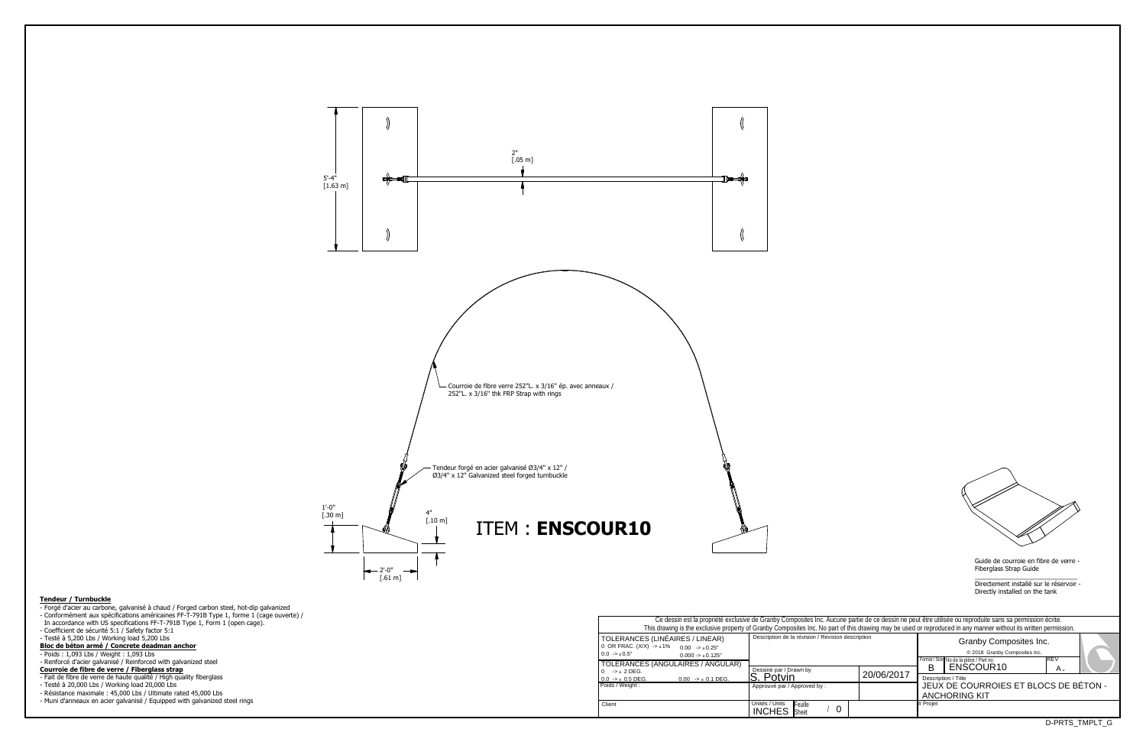Guide de courroie en fibre de verre -Fiberglass Strap Guide

Approuvé par / Approved by :  $\sqrt{0}$ Description de la révision / Revision t and the Unites / Units | Feuille *and the Indian Company of the Sheet i* and the United Sheet *i* and the United Sheet *i* and the United Sheet *i* and the United Sheet *i* and the United Sheet *i* and the United Sheet Poids / Weight : Ce dessin est la propriété exclusive de Granby Composites Inc. Aucune This drawing is the exclusive property of Granby Composites Inc. No part of this drawing is the exclusive property of Granby Composites Inc. No part of Dessiné par / Drawn by<br>**S. Potvin** TOLERANCES (LINÉAIRES / LINEAR)0 OR FRAC. (X/X) -> `1% 0.0 -> `0.5"0.00 -> `0.25" TOLERANCES (ANGULAIRES / ANGULAR) $0.000 \to \pm 0.125"$ 0 -> ` 2 DEG. 0.0 -> ` 0.5 DEG. $0.00$  ->  $\pm$  0.1 DEG. **Client** 



\_\_\_\_\_\_\_\_\_\_\_\_\_\_\_\_\_\_\_\_\_\_\_\_\_\_\_\_\_ Directement installé sur le réservoir -Directly installed on the tank

|                         | le partie de ce dessin ne peut être utilisée ou reproduite sans sa permission écrite.<br>of this drawing may be used or reproduced in any manner without its written permission. |                                       |                                         |            |  |  |  |  |  |  |  |  |  |
|-------------------------|----------------------------------------------------------------------------------------------------------------------------------------------------------------------------------|---------------------------------------|-----------------------------------------|------------|--|--|--|--|--|--|--|--|--|
|                         | description                                                                                                                                                                      |                                       |                                         |            |  |  |  |  |  |  |  |  |  |
|                         |                                                                                                                                                                                  |                                       | Format / Size No de la pièce / Part no. | <b>REV</b> |  |  |  |  |  |  |  |  |  |
|                         |                                                                                                                                                                                  | R                                     | ENSCOUR10                               | А.         |  |  |  |  |  |  |  |  |  |
|                         | 20/06/2017                                                                                                                                                                       | Description / Title                   |                                         |            |  |  |  |  |  |  |  |  |  |
|                         |                                                                                                                                                                                  | JEUX DE COURROIES ET BLOCS DE BÉTON - |                                         |            |  |  |  |  |  |  |  |  |  |
|                         |                                                                                                                                                                                  | <b>ANCHORING KIT</b>                  |                                         |            |  |  |  |  |  |  |  |  |  |
|                         |                                                                                                                                                                                  | # Proiet                              |                                         |            |  |  |  |  |  |  |  |  |  |
|                         |                                                                                                                                                                                  |                                       |                                         |            |  |  |  |  |  |  |  |  |  |
| הדהה ה<br><b>TIMPLE</b> |                                                                                                                                                                                  |                                       |                                         |            |  |  |  |  |  |  |  |  |  |



## **Tendeur / Turnbuckle**

- 
- Forgé d'acier au carbone, galvanisé à chaud / Forged carbon steel, hot-dip galvanized Conformément aux spécifications américaines FF-T-791B Type 1, forme 1 (cage ouverte) /
- In accordance with US specifications FF-T-791B Type 1, Form 1 (open cage).
- 
- Coefficient de sécurité 5:1 / Safety factor 5:1 Testé à 5,200 Lbs / Working load 5,200 Lbs **Bloc de béton armé / Concrete deadman anchor**
- 
- Poids : 1,093 Lbs / Weight : 1,093 Lbs
- Renforcé d'acier galvanisé / Reinforced with galvanized steel
- **Courroie de fibre de verre / Fiberglass strap**
- 
- Fait de fibre de verre de haute qualité / High quality fiberglass Testé à 20,000 Lbs / Working load 20,000 Lbs
- Résistance maximale : 45,000 Lbs / Ultimate rated 45,000 Lbs
- Muni d'anneaux en acier galvanisé / Equipped with galvanized steel rings